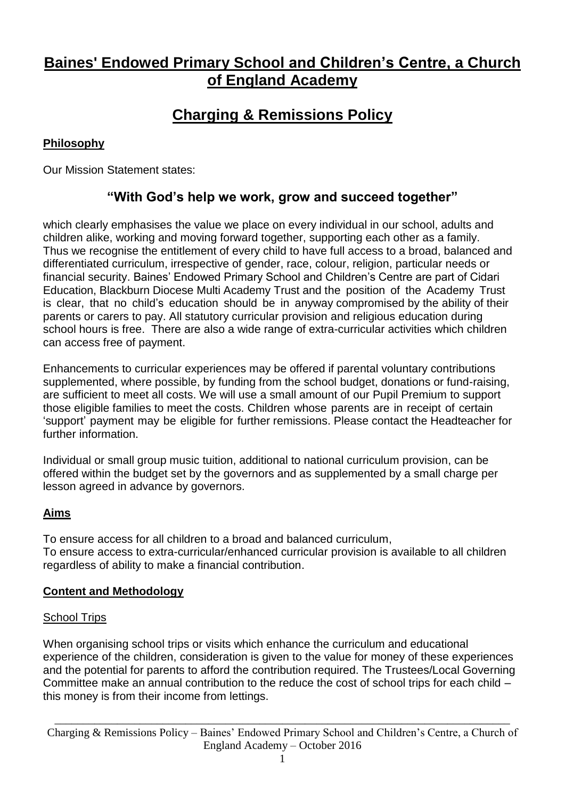# **Baines' Endowed Primary School and Children's Centre, a Church of England Academy**

# **Charging & Remissions Policy**

# **Philosophy**

Our Mission Statement states:

# **"With God's help we work, grow and succeed together"**

which clearly emphasises the value we place on every individual in our school, adults and children alike, working and moving forward together, supporting each other as a family. Thus we recognise the entitlement of every child to have full access to a broad, balanced and differentiated curriculum, irrespective of gender, race, colour, religion, particular needs or financial security. Baines' Endowed Primary School and Children's Centre are part of Cidari Education, Blackburn Diocese Multi Academy Trust and the position of the Academy Trust is clear, that no child's education should be in anyway compromised by the ability of their parents or carers to pay. All statutory curricular provision and religious education during school hours is free. There are also a wide range of extra-curricular activities which children can access free of payment.

Enhancements to curricular experiences may be offered if parental voluntary contributions supplemented, where possible, by funding from the school budget, donations or fund-raising, are sufficient to meet all costs. We will use a small amount of our Pupil Premium to support those eligible families to meet the costs. Children whose parents are in receipt of certain 'support' payment may be eligible for further remissions. Please contact the Headteacher for further information.

Individual or small group music tuition, additional to national curriculum provision, can be offered within the budget set by the governors and as supplemented by a small charge per lesson agreed in advance by governors.

### **Aims**

To ensure access for all children to a broad and balanced curriculum, To ensure access to extra-curricular/enhanced curricular provision is available to all children regardless of ability to make a financial contribution.

### **Content and Methodology**

### School Trips

When organising school trips or visits which enhance the curriculum and educational experience of the children, consideration is given to the value for money of these experiences and the potential for parents to afford the contribution required. The Trustees/Local Governing Committee make an annual contribution to the reduce the cost of school trips for each child – this money is from their income from lettings.

Charging & Remissions Policy – Baines' Endowed Primary School and Children's Centre, a Church of England Academy – October 2016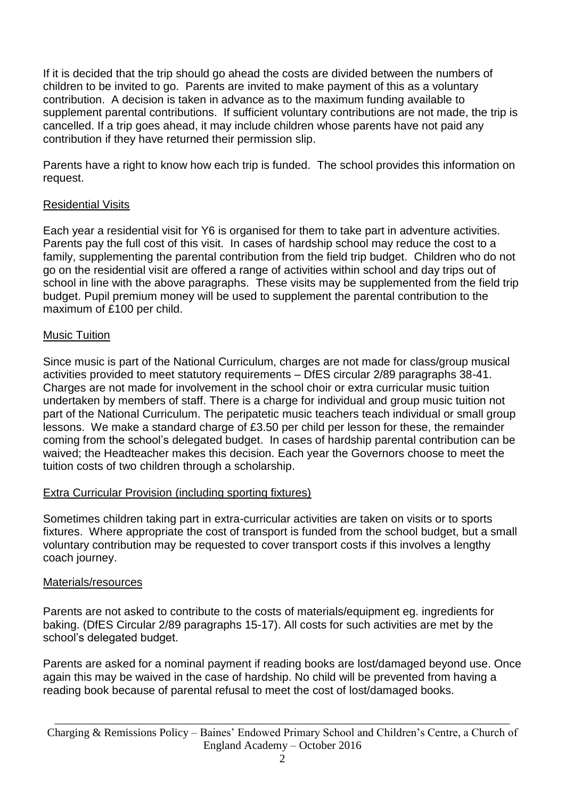If it is decided that the trip should go ahead the costs are divided between the numbers of children to be invited to go. Parents are invited to make payment of this as a voluntary contribution. A decision is taken in advance as to the maximum funding available to supplement parental contributions. If sufficient voluntary contributions are not made, the trip is cancelled. If a trip goes ahead, it may include children whose parents have not paid any contribution if they have returned their permission slip.

Parents have a right to know how each trip is funded. The school provides this information on request.

# Residential Visits

Each year a residential visit for Y6 is organised for them to take part in adventure activities. Parents pay the full cost of this visit. In cases of hardship school may reduce the cost to a family, supplementing the parental contribution from the field trip budget. Children who do not go on the residential visit are offered a range of activities within school and day trips out of school in line with the above paragraphs. These visits may be supplemented from the field trip budget. Pupil premium money will be used to supplement the parental contribution to the maximum of £100 per child.

### Music Tuition

Since music is part of the National Curriculum, charges are not made for class/group musical activities provided to meet statutory requirements – DfES circular 2/89 paragraphs 38-41. Charges are not made for involvement in the school choir or extra curricular music tuition undertaken by members of staff. There is a charge for individual and group music tuition not part of the National Curriculum. The peripatetic music teachers teach individual or small group lessons. We make a standard charge of £3.50 per child per lesson for these, the remainder coming from the school's delegated budget. In cases of hardship parental contribution can be waived; the Headteacher makes this decision. Each year the Governors choose to meet the tuition costs of two children through a scholarship.

### Extra Curricular Provision (including sporting fixtures)

Sometimes children taking part in extra-curricular activities are taken on visits or to sports fixtures. Where appropriate the cost of transport is funded from the school budget, but a small voluntary contribution may be requested to cover transport costs if this involves a lengthy coach journey.

### Materials/resources

Parents are not asked to contribute to the costs of materials/equipment eg. ingredients for baking. (DfES Circular 2/89 paragraphs 15-17). All costs for such activities are met by the school's delegated budget.

Parents are asked for a nominal payment if reading books are lost/damaged beyond use. Once again this may be waived in the case of hardship. No child will be prevented from having a reading book because of parental refusal to meet the cost of lost/damaged books.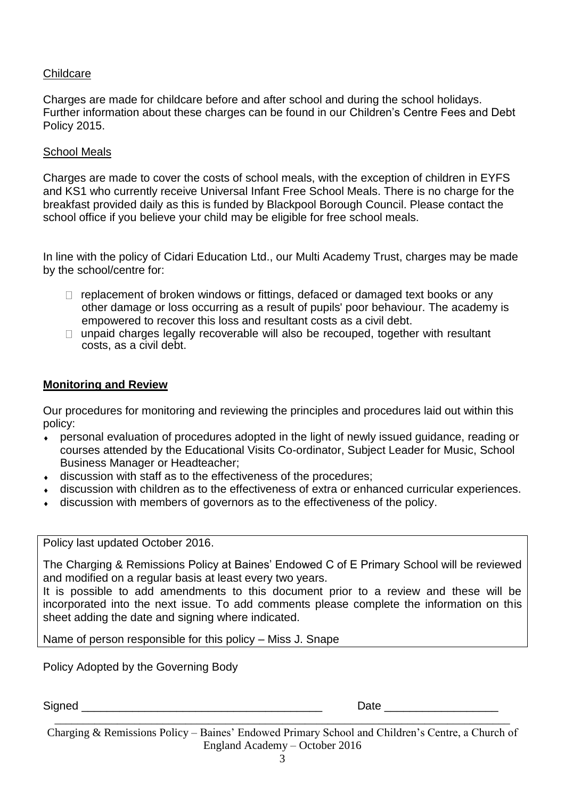#### **Childcare**

Charges are made for childcare before and after school and during the school holidays. Further information about these charges can be found in our Children's Centre Fees and Debt Policy 2015.

#### School Meals

Charges are made to cover the costs of school meals, with the exception of children in EYFS and KS1 who currently receive Universal Infant Free School Meals. There is no charge for the breakfast provided daily as this is funded by Blackpool Borough Council. Please contact the school office if you believe your child may be eligible for free school meals.

In line with the policy of Cidari Education Ltd., our Multi Academy Trust, charges may be made by the school/centre for:

- $\Box$  replacement of broken windows or fittings, defaced or damaged text books or any other damage or loss occurring as a result of pupils' poor behaviour. The academy is empowered to recover this loss and resultant costs as a civil debt.
- $\Box$  unpaid charges legally recoverable will also be recouped, together with resultant costs, as a civil debt.

#### **Monitoring and Review**

Our procedures for monitoring and reviewing the principles and procedures laid out within this policy:

- personal evaluation of procedures adopted in the light of newly issued guidance, reading or courses attended by the Educational Visits Co-ordinator, Subject Leader for Music, School Business Manager or Headteacher;
- discussion with staff as to the effectiveness of the procedures;
- discussion with children as to the effectiveness of extra or enhanced curricular experiences.
- discussion with members of governors as to the effectiveness of the policy.

#### Policy last updated October 2016.

The Charging & Remissions Policy at Baines' Endowed C of E Primary School will be reviewed and modified on a regular basis at least every two years.

It is possible to add amendments to this document prior to a review and these will be incorporated into the next issue. To add comments please complete the information on this sheet adding the date and signing where indicated.

Name of person responsible for this policy – Miss J. Snape

Policy Adopted by the Governing Body

Signed **Example 2** Date **Date Contract 2** Date **Contract 2** Only 2 Date **Contract 2** Only 2 Date **Contract 2** Only 2 Date **Contract 2** Only 2 Date **Contract 2** Only 2 Date **Contract 2** Only 2 Date **Contract 2** Only 2 Dat

Charging & Remissions Policy – Baines' Endowed Primary School and Children's Centre, a Church of England Academy – October 2016